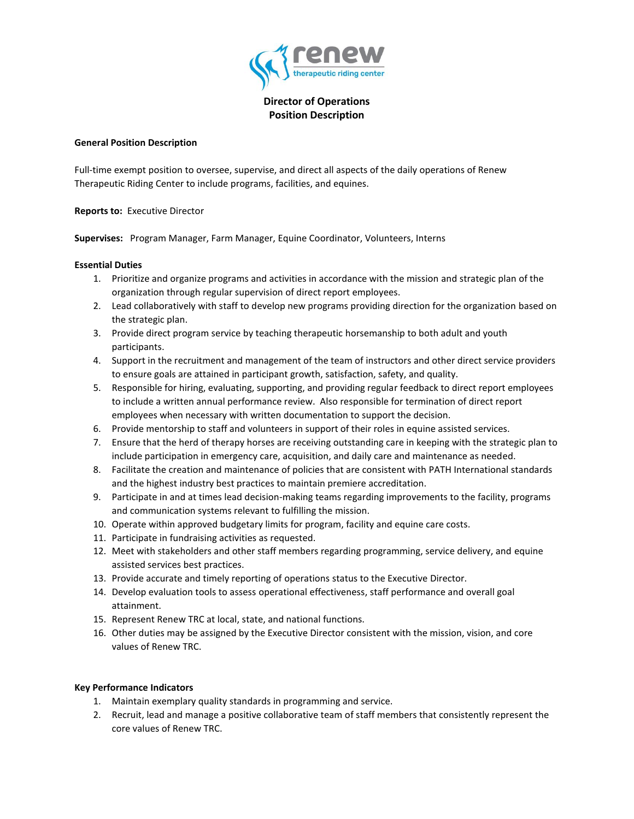

**Director of Operations Position Description**

### **General Position Description**

Full-time exempt position to oversee, supervise, and direct all aspects of the daily operations of Renew Therapeutic Riding Center to include programs, facilities, and equines.

**Reports to:** Executive Director

**Supervises:** Program Manager, Farm Manager, Equine Coordinator, Volunteers, Interns

## **Essential Duties**

- 1. Prioritize and organize programs and activities in accordance with the mission and strategic plan of the organization through regular supervision of direct report employees.
- 2. Lead collaboratively with staff to develop new programs providing direction for the organization based on the strategic plan.
- 3. Provide direct program service by teaching therapeutic horsemanship to both adult and youth participants.
- 4. Support in the recruitment and management of the team of instructors and other direct service providers to ensure goals are attained in participant growth, satisfaction, safety, and quality.
- 5. Responsible for hiring, evaluating, supporting, and providing regular feedback to direct report employees to include a written annual performance review. Also responsible for termination of direct report employees when necessary with written documentation to support the decision.
- 6. Provide mentorship to staff and volunteers in support of their roles in equine assisted services.
- 7. Ensure that the herd of therapy horses are receiving outstanding care in keeping with the strategic plan to include participation in emergency care, acquisition, and daily care and maintenance as needed.
- 8. Facilitate the creation and maintenance of policies that are consistent with PATH International standards and the highest industry best practices to maintain premiere accreditation.
- 9. Participate in and at times lead decision-making teams regarding improvements to the facility, programs and communication systems relevant to fulfilling the mission.
- 10. Operate within approved budgetary limits for program, facility and equine care costs.
- 11. Participate in fundraising activities as requested.
- 12. Meet with stakeholders and other staff members regarding programming, service delivery, and equine assisted services best practices.
- 13. Provide accurate and timely reporting of operations status to the Executive Director.
- 14. Develop evaluation tools to assess operational effectiveness, staff performance and overall goal attainment.
- 15. Represent Renew TRC at local, state, and national functions.
- 16. Other duties may be assigned by the Executive Director consistent with the mission, vision, and core values of Renew TRC.

## **Key Performance Indicators**

- 1. Maintain exemplary quality standards in programming and service.
- 2. Recruit, lead and manage a positive collaborative team of staff members that consistently represent the core values of Renew TRC.